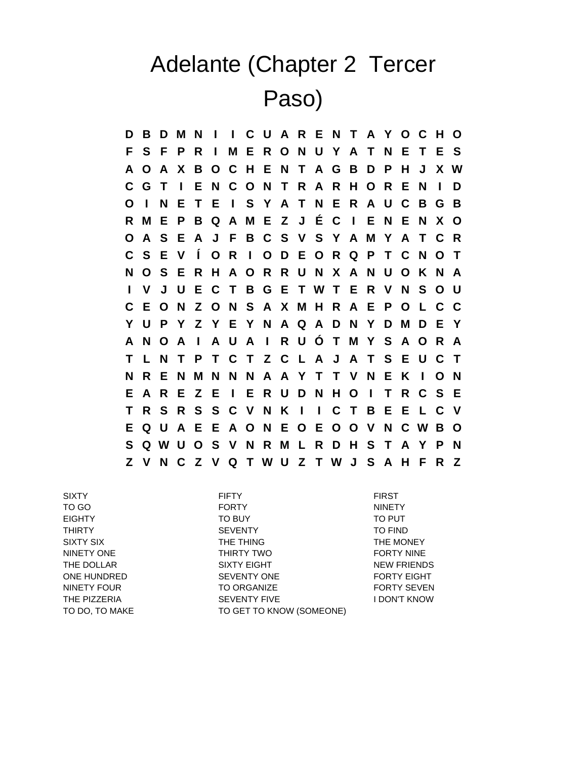## Adelante (Chapter 2 Tercer Paso)

**D B D M N I I C U A R E N T A Y O C H O F S F P R I M E R O N U Y A T N E T E S A O A X B O C H E N T A G B D P H J X W C G T I E N C O N T R A R H O R E N I D O I N E T E I S Y A T N E R A U C B G B R M E P B Q A M E Z J É C I E N E N X O O A S E A J F B C S V S Y A M Y A T C R C S E V Í O R I O D E O R Q P T C N O T N O S E R H A O R R U N X A N U O K N A I V J U E C T B G E T W T E R V N S O U C E O N Z O N S A X M H R A E P O L C C Y U P Y Z Y E Y N A Q A D N Y D M D E Y A N O A I A U A I R U Ó T M Y S A O R A T L N T P T C T Z C L A J A T S E U C T N R E N M N N N A A Y T T V N E K I O N E A R E Z E I E R U D N H O I T R C S E T R S R S S C V N K I I C T B E E L C V E Q U A E E A O N E O E O O V N C W B O S Q W U O S V N R M L R D H S T A Y P N Z V N C Z V Q T W U Z T W J S A H F R Z**

SIXTY FIFTY FIRST TO GO FORTY NINETY EIGHTY TO BUY TO PUT THIRTY SEVENTY TO FIND SIXTY SIX THE THING THE THING THE MONEY NINETY ONE THIRTY TWO THIRTY TWO FORTY NINE THE DOLLAR SIXTY EIGHT NEW FRIENDS ONE HUNDRED SEVENTY ONE FORTY EIGHT NINETY FOUR TO ORGANIZE TO ORGANIZE FORTY SEVEN THE PIZZERIA **SEVENTY FIVE ACCOMBLE ASSESS** I DON'T KNOW TO DO, TO MAKE TO GET TO KNOW (SOMEONE)